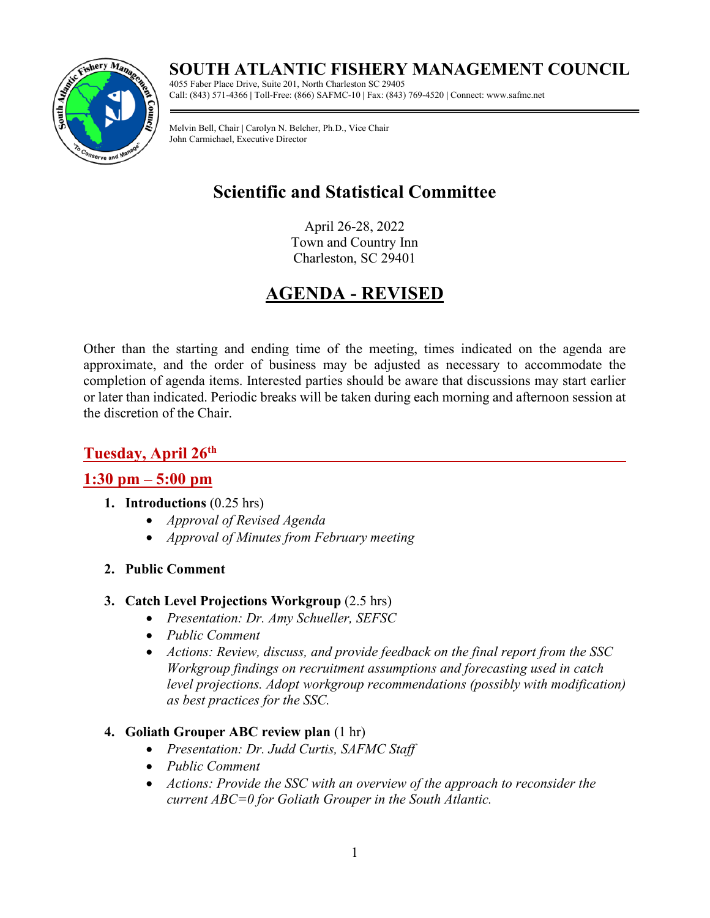# **SOUTH ATLANTIC FISHERY MANAGEMENT COUNCIL**



4055 Faber Place Drive, Suite 201, North Charleston SC 29405 Call: (843) 571-4366 **|** Toll-Free: (866) SAFMC-10 **|** Fax: (843) 769-4520 **|** Connect: www.safmc.net

Melvin Bell, Chair **|** Carolyn N. Belcher, Ph.D., Vice Chair John Carmichael, Executive Director

# **Scientific and Statistical Committee**

April 26-28, 2022 Town and Country Inn Charleston, SC 29401

# **AGENDA - REVISED**

Other than the starting and ending time of the meeting, times indicated on the agenda are approximate, and the order of business may be adjusted as necessary to accommodate the completion of agenda items. Interested parties should be aware that discussions may start earlier or later than indicated. Periodic breaks will be taken during each morning and afternoon session at the discretion of the Chair.

## **Tuesday, April 26th**

## **1:30 pm – 5:00 pm**

- **1. Introductions** (0.25 hrs)
	- *Approval of Revised Agenda*
	- *Approval of Minutes from February meeting*
- **2. Public Comment**

## **3. Catch Level Projections Workgroup** (2.5 hrs)

- *Presentation: Dr. Amy Schueller, SEFSC*
- *Public Comment*
- *Actions: Review, discuss, and provide feedback on the final report from the SSC Workgroup findings on recruitment assumptions and forecasting used in catch level projections. Adopt workgroup recommendations (possibly with modification) as best practices for the SSC.*

## **4. Goliath Grouper ABC review plan** (1 hr)

- *Presentation: Dr. Judd Curtis, SAFMC Staff*
- *Public Comment*
- *Actions: Provide the SSC with an overview of the approach to reconsider the current ABC=0 for Goliath Grouper in the South Atlantic.*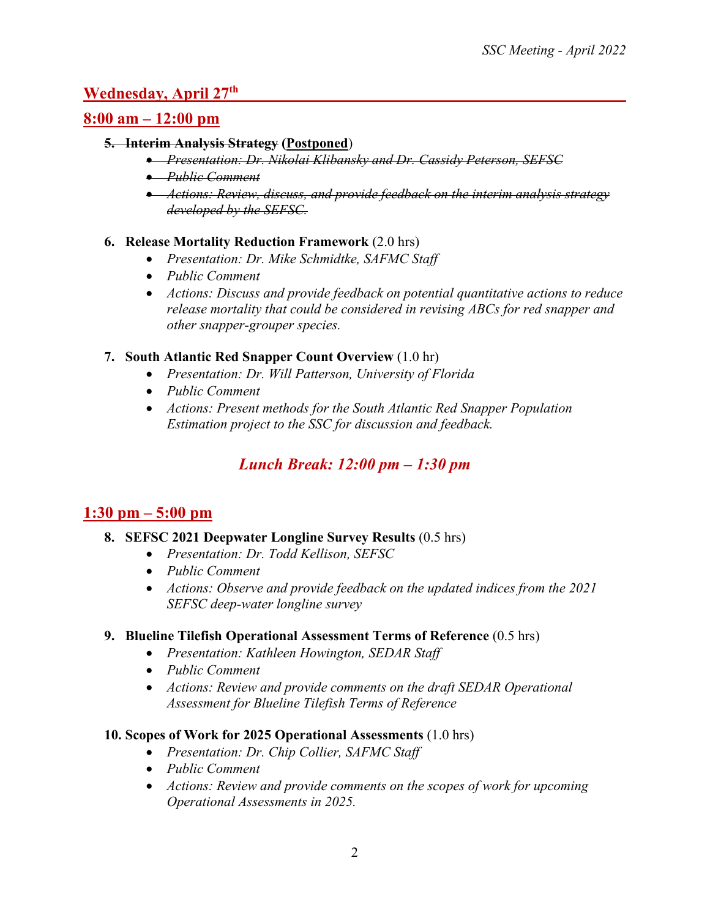## **Wednesday, April 27th**

## **8:00 am – 12:00 pm**

#### **5. Interim Analysis Strategy (Postponed**)

- *Presentation: Dr. Nikolai Klibansky and Dr. Cassidy Peterson, SEFSC*
- *Public Comment*
- *Actions: Review, discuss, and provide feedback on the interim analysis strategy developed by the SEFSC.*

### **6. Release Mortality Reduction Framework** (2.0 hrs)

- *Presentation: Dr. Mike Schmidtke, SAFMC Staff*
- *Public Comment*
- *Actions: Discuss and provide feedback on potential quantitative actions to reduce release mortality that could be considered in revising ABCs for red snapper and other snapper-grouper species.*

### **7. South Atlantic Red Snapper Count Overview** (1.0 hr)

- *Presentation: Dr. Will Patterson, University of Florida*
- *Public Comment*
- *Actions: Present methods for the South Atlantic Red Snapper Population Estimation project to the SSC for discussion and feedback.*

# *Lunch Break: 12:00 pm – 1:30 pm*

## **1:30 pm – 5:00 pm**

- **8. SEFSC 2021 Deepwater Longline Survey Results** (0.5 hrs)
	- *Presentation: Dr. Todd Kellison, SEFSC*
	- *Public Comment*
	- *Actions: Observe and provide feedback on the updated indices from the 2021 SEFSC deep-water longline survey*

#### **9. Blueline Tilefish Operational Assessment Terms of Reference** (0.5 hrs)

- *Presentation: Kathleen Howington, SEDAR Staff*
- *Public Comment*
- *Actions: Review and provide comments on the draft SEDAR Operational Assessment for Blueline Tilefish Terms of Reference*

#### **10. Scopes of Work for 2025 Operational Assessments** (1.0 hrs)

- *Presentation: Dr. Chip Collier, SAFMC Staff*
- *Public Comment*
- *Actions: Review and provide comments on the scopes of work for upcoming Operational Assessments in 2025.*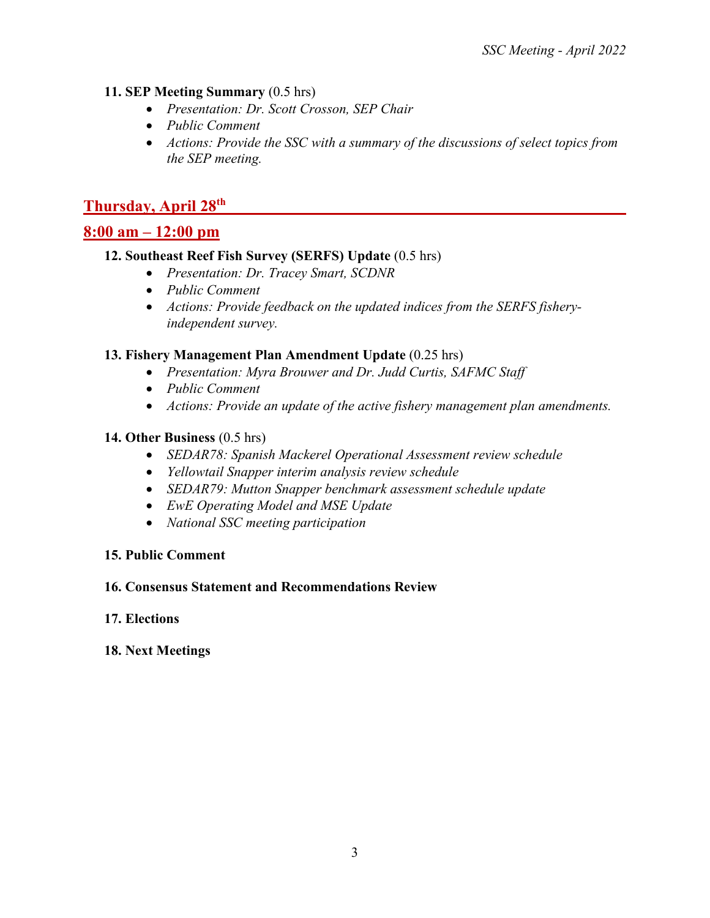#### **11. SEP Meeting Summary** (0.5 hrs)

- *Presentation: Dr. Scott Crosson, SEP Chair*
- *Public Comment*
- *Actions: Provide the SSC with a summary of the discussions of select topics from the SEP meeting.*

## **Thursday, April 28th**

## **8:00 am – 12:00 pm**

#### **12. Southeast Reef Fish Survey (SERFS) Update** (0.5 hrs)

- *Presentation: Dr. Tracey Smart, SCDNR*
- *Public Comment*
- *Actions: Provide feedback on the updated indices from the SERFS fisheryindependent survey.*

#### **13. Fishery Management Plan Amendment Update** (0.25 hrs)

- *Presentation: Myra Brouwer and Dr. Judd Curtis, SAFMC Staff*
- *Public Comment*
- *Actions: Provide an update of the active fishery management plan amendments.*

#### **14. Other Business** (0.5 hrs)

- *SEDAR78: Spanish Mackerel Operational Assessment review schedule*
- *Yellowtail Snapper interim analysis review schedule*
- *SEDAR79: Mutton Snapper benchmark assessment schedule update*
- *EwE Operating Model and MSE Update*
- *National SSC meeting participation*

#### **15. Public Comment**

#### **16. Consensus Statement and Recommendations Review**

#### **17. Elections**

#### **18. Next Meetings**